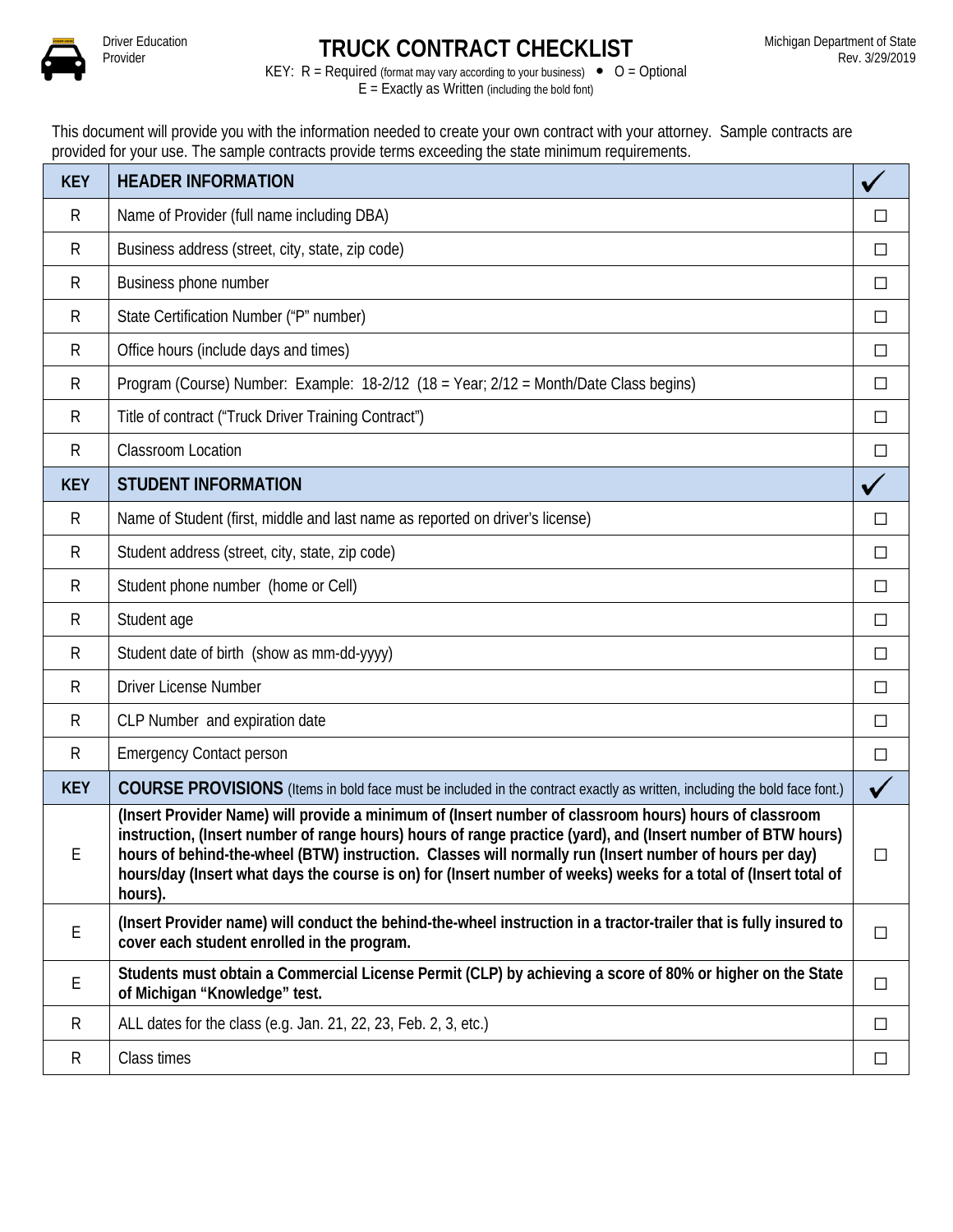

## **Driver Education**<br>Provider

KEY:  $R =$  Required (format may vary according to your business)  $\bullet$  O = Optional  $E =$  Exactly as Written (including the bold font)

This document will provide you with the information needed to create your own contract with your attorney. Sample contracts are provided for your use. The sample contracts provide terms exceeding the state minimum requirements.

| <b>KEY</b> | <b>HEADER INFORMATION</b>                                                                                                                                                                                                                                                                                                                                                                                                                                        |              |
|------------|------------------------------------------------------------------------------------------------------------------------------------------------------------------------------------------------------------------------------------------------------------------------------------------------------------------------------------------------------------------------------------------------------------------------------------------------------------------|--------------|
| R          | Name of Provider (full name including DBA)                                                                                                                                                                                                                                                                                                                                                                                                                       | П            |
| R          | Business address (street, city, state, zip code)                                                                                                                                                                                                                                                                                                                                                                                                                 | $\Box$       |
| R          | Business phone number                                                                                                                                                                                                                                                                                                                                                                                                                                            | $\Box$       |
| R          | State Certification Number ("P" number)                                                                                                                                                                                                                                                                                                                                                                                                                          | $\Box$       |
| R          | Office hours (include days and times)                                                                                                                                                                                                                                                                                                                                                                                                                            | $\Box$       |
| R          | Program (Course) Number: Example: 18-2/12 (18 = Year; 2/12 = Month/Date Class begins)                                                                                                                                                                                                                                                                                                                                                                            | □            |
| R          | Title of contract ("Truck Driver Training Contract")                                                                                                                                                                                                                                                                                                                                                                                                             | $\Box$       |
| R          | Classroom Location                                                                                                                                                                                                                                                                                                                                                                                                                                               | $\Box$       |
| <b>KEY</b> | <b>STUDENT INFORMATION</b>                                                                                                                                                                                                                                                                                                                                                                                                                                       |              |
| R          | Name of Student (first, middle and last name as reported on driver's license)                                                                                                                                                                                                                                                                                                                                                                                    | $\Box$       |
| R          | Student address (street, city, state, zip code)                                                                                                                                                                                                                                                                                                                                                                                                                  | $\Box$       |
| R          | Student phone number (home or Cell)                                                                                                                                                                                                                                                                                                                                                                                                                              | $\Box$       |
| R          | Student age                                                                                                                                                                                                                                                                                                                                                                                                                                                      | $\Box$       |
| R          | Student date of birth (show as mm-dd-yyyy)                                                                                                                                                                                                                                                                                                                                                                                                                       | $\Box$       |
| R          | <b>Driver License Number</b>                                                                                                                                                                                                                                                                                                                                                                                                                                     | $\Box$       |
| R          | CLP Number and expiration date                                                                                                                                                                                                                                                                                                                                                                                                                                   | $\Box$       |
| R          | <b>Emergency Contact person</b>                                                                                                                                                                                                                                                                                                                                                                                                                                  | $\Box$       |
| <b>KEY</b> | COURSE PROVISIONS (Items in bold face must be included in the contract exactly as written, including the bold face font.)                                                                                                                                                                                                                                                                                                                                        | $\checkmark$ |
| Ε          | (Insert Provider Name) will provide a minimum of (Insert number of classroom hours) hours of classroom<br>instruction, (Insert number of range hours) hours of range practice (yard), and (Insert number of BTW hours)<br>hours of behind-the-wheel (BTW) instruction. Classes will normally run (Insert number of hours per day)<br>hours/day (Insert what days the course is on) for (Insert number of weeks) weeks for a total of (Insert total of<br>hours). | Ш            |
| E          | (Insert Provider name) will conduct the behind-the-wheel instruction in a tractor-trailer that is fully insured to<br>cover each student enrolled in the program.                                                                                                                                                                                                                                                                                                | $\Box$       |
| E          | Students must obtain a Commercial License Permit (CLP) by achieving a score of 80% or higher on the State<br>of Michigan "Knowledge" test.                                                                                                                                                                                                                                                                                                                       | $\Box$       |
| R          | ALL dates for the class (e.g. Jan. 21, 22, 23, Feb. 2, 3, etc.)                                                                                                                                                                                                                                                                                                                                                                                                  | $\Box$       |
| R          | Class times                                                                                                                                                                                                                                                                                                                                                                                                                                                      | $\Box$       |